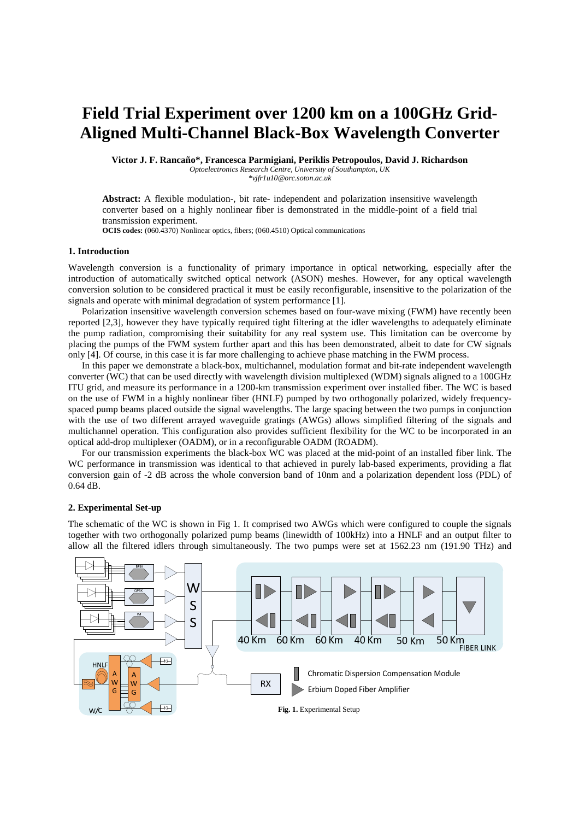# **Field Trial Experiment over 1200 km on a 100GHz Grid-Aligned Multi-Channel Black-Box Wavelength Converter**

**Victor J. F. Rancaño\*, Francesca Parmigiani, Periklis Petropoulos, David J. Richardson** 

*Optoelectronics Research Centre, University of Southampton, UK* 

*\*vjfr1u10@orc.soton.ac.uk* 

**Abstract:** A flexible modulation-, bit rate- independent and polarization insensitive wavelength converter based on a highly nonlinear fiber is demonstrated in the middle-point of a field trial transmission experiment.

**OCIS codes:** (060.4370) Nonlinear optics, fibers; (060.4510) Optical communications

# **1. Introduction**

Wavelength conversion is a functionality of primary importance in optical networking, especially after the introduction of automatically switched optical network (ASON) meshes. However, for any optical wavelength conversion solution to be considered practical it must be easily reconfigurable, insensitive to the polarization of the signals and operate with minimal degradation of system performance [1].

Polarization insensitive wavelength conversion schemes based on four-wave mixing (FWM) have recently been reported [2,3], however they have typically required tight filtering at the idler wavelengths to adequately eliminate the pump radiation, compromising their suitability for any real system use. This limitation can be overcome by placing the pumps of the FWM system further apart and this has been demonstrated, albeit to date for CW signals only [4]. Of course, in this case it is far more challenging to achieve phase matching in the FWM process.

In this paper we demonstrate a black-box, multichannel, modulation format and bit-rate independent wavelength converter (WC) that can be used directly with wavelength division multiplexed (WDM) signals aligned to a 100GHz ITU grid, and measure its performance in a 1200-km transmission experiment over installed fiber. The WC is based on the use of FWM in a highly nonlinear fiber (HNLF) pumped by two orthogonally polarized, widely frequencyspaced pump beams placed outside the signal wavelengths. The large spacing between the two pumps in conjunction with the use of two different arrayed waveguide gratings (AWGs) allows simplified filtering of the signals and multichannel operation. This configuration also provides sufficient flexibility for the WC to be incorporated in an optical add-drop multiplexer (OADM), or in a reconfigurable OADM (ROADM).

For our transmission experiments the black-box WC was placed at the mid-point of an installed fiber link. The WC performance in transmission was identical to that achieved in purely lab-based experiments, providing a flat conversion gain of -2 dB across the whole conversion band of 10nm and a polarization dependent loss (PDL) of 0.64 dB.

#### **2. Experimental Set-up**

The schematic of the WC is shown in Fig 1. It comprised two AWGs which were configured to couple the signals together with two orthogonally polarized pump beams (linewidth of 100kHz) into a HNLF and an output filter to allow all the filtered idlers through simultaneously. The two pumps were set at 1562.23 nm (191.90 THz) and

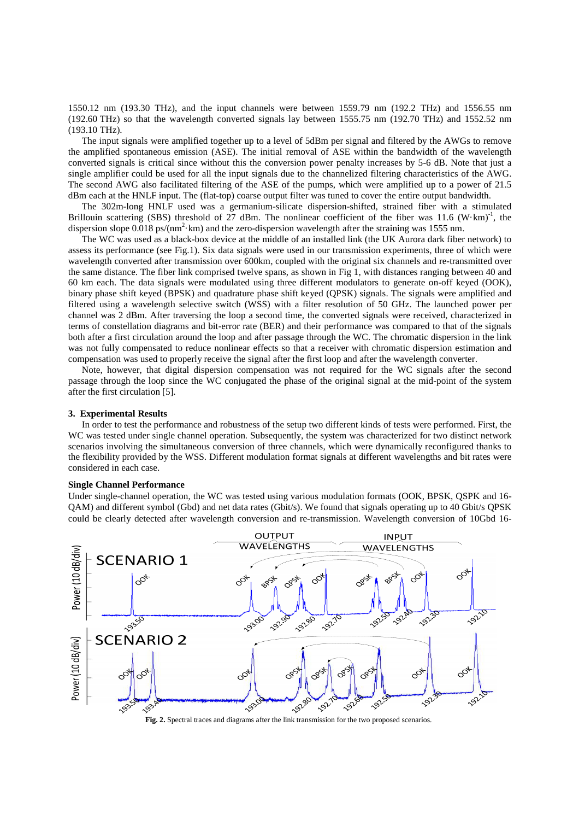1550.12 nm (193.30 THz), and the input channels were between 1559.79 nm (192.2 THz) and 1556.55 nm (192.60 THz) so that the wavelength converted signals lay between 1555.75 nm (192.70 THz) and 1552.52 nm (193.10 THz).

The input signals were amplified together up to a level of 5dBm per signal and filtered by the AWGs to remove the amplified spontaneous emission (ASE). The initial removal of ASE within the bandwidth of the wavelength converted signals is critical since without this the conversion power penalty increases by 5-6 dB. Note that just a single amplifier could be used for all the input signals due to the channelized filtering characteristics of the AWG. The second AWG also facilitated filtering of the ASE of the pumps, which were amplified up to a power of 21.5 dBm each at the HNLF input. The (flat-top) coarse output filter was tuned to cover the entire output bandwidth.

The 302m-long HNLF used was a germanium-silicate dispersion-shifted, strained fiber with a stimulated Brillouin scattering (SBS) threshold of 27 dBm. The nonlinear coefficient of the fiber was 11.6  $(W·km)^{-1}$ , the dispersion slope  $0.018$  ps/(nm<sup>2</sup>·km) and the zero-dispersion wavelength after the straining was 1555 nm.

The WC was used as a black-box device at the middle of an installed link (the UK Aurora dark fiber network) to assess its performance (see Fig.1). Six data signals were used in our transmission experiments, three of which were wavelength converted after transmission over 600km, coupled with the original six channels and re-transmitted over the same distance. The fiber link comprised twelve spans, as shown in Fig 1, with distances ranging between 40 and 60 km each. The data signals were modulated using three different modulators to generate on-off keyed (OOK), binary phase shift keyed (BPSK) and quadrature phase shift keyed (QPSK) signals. The signals were amplified and filtered using a wavelength selective switch (WSS) with a filter resolution of 50 GHz. The launched power per channel was 2 dBm. After traversing the loop a second time, the converted signals were received, characterized in terms of constellation diagrams and bit-error rate (BER) and their performance was compared to that of the signals both after a first circulation around the loop and after passage through the WC. The chromatic dispersion in the link was not fully compensated to reduce nonlinear effects so that a receiver with chromatic dispersion estimation and compensation was used to properly receive the signal after the first loop and after the wavelength converter.

Note, however, that digital dispersion compensation was not required for the WC signals after the second passage through the loop since the WC conjugated the phase of the original signal at the mid-point of the system after the first circulation [5].

#### **3. Experimental Results**

In order to test the performance and robustness of the setup two different kinds of tests were performed. First, the WC was tested under single channel operation. Subsequently, the system was characterized for two distinct network scenarios involving the simultaneous conversion of three channels, which were dynamically reconfigured thanks to the flexibility provided by the WSS. Different modulation format signals at different wavelengths and bit rates were considered in each case.

#### **Single Channel Performance**

Under single-channel operation, the WC was tested using various modulation formats (OOK, BPSK, QSPK and 16- QAM) and different symbol (Gbd) and net data rates (Gbit/s). We found that signals operating up to 40 Gbit/s QPSK could be clearly detected after wavelength conversion and re-transmission. Wavelength conversion of 10Gbd 16-



Fig. 2. Spectral traces and diagrams after the link transmission for the two proposed scenarios.